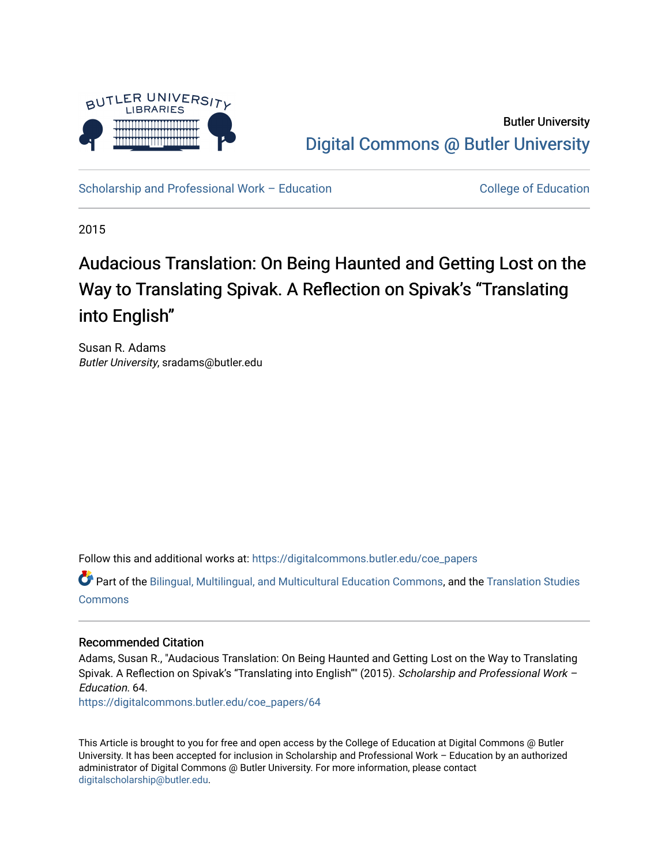

Butler University [Digital Commons @ Butler University](https://digitalcommons.butler.edu/) 

[Scholarship and Professional Work – Education](https://digitalcommons.butler.edu/coe_papers) [College of Education](https://digitalcommons.butler.edu/edu) College of Education

2015

# Audacious Translation: On Being Haunted and Getting Lost on the Way to Translating Spivak. A Reflection on Spivak's "Translating into English"

Susan R. Adams Butler University, sradams@butler.edu

Follow this and additional works at: [https://digitalcommons.butler.edu/coe\\_papers](https://digitalcommons.butler.edu/coe_papers?utm_source=digitalcommons.butler.edu%2Fcoe_papers%2F64&utm_medium=PDF&utm_campaign=PDFCoverPages)

Part of the [Bilingual, Multilingual, and Multicultural Education Commons,](http://network.bepress.com/hgg/discipline/785?utm_source=digitalcommons.butler.edu%2Fcoe_papers%2F64&utm_medium=PDF&utm_campaign=PDFCoverPages) and the [Translation Studies](http://network.bepress.com/hgg/discipline/1312?utm_source=digitalcommons.butler.edu%2Fcoe_papers%2F64&utm_medium=PDF&utm_campaign=PDFCoverPages) **[Commons](http://network.bepress.com/hgg/discipline/1312?utm_source=digitalcommons.butler.edu%2Fcoe_papers%2F64&utm_medium=PDF&utm_campaign=PDFCoverPages)** 

## Recommended Citation

Adams, Susan R., "Audacious Translation: On Being Haunted and Getting Lost on the Way to Translating Spivak. A Reflection on Spivak's "Translating into English"" (2015). Scholarship and Professional Work -Education. 64.

[https://digitalcommons.butler.edu/coe\\_papers/64](https://digitalcommons.butler.edu/coe_papers/64?utm_source=digitalcommons.butler.edu%2Fcoe_papers%2F64&utm_medium=PDF&utm_campaign=PDFCoverPages) 

This Article is brought to you for free and open access by the College of Education at Digital Commons @ Butler University. It has been accepted for inclusion in Scholarship and Professional Work – Education by an authorized administrator of Digital Commons @ Butler University. For more information, please contact [digitalscholarship@butler.edu.](mailto:digitalscholarship@butler.edu)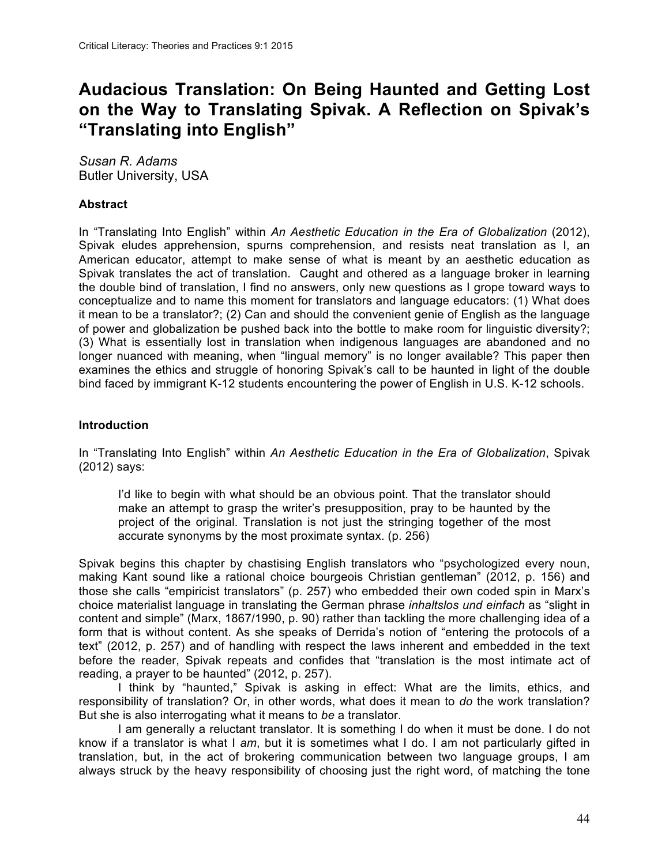# **Audacious Translation: On Being Haunted and Getting Lost on the Way to Translating Spivak. A Reflection on Spivak's "Translating into English"**

*Susan R. Adams* Butler University, USA

# **Abstract**

In "Translating Into English" within *An Aesthetic Education in the Era of Globalization* (2012), Spivak eludes apprehension, spurns comprehension, and resists neat translation as I, an American educator, attempt to make sense of what is meant by an aesthetic education as Spivak translates the act of translation. Caught and othered as a language broker in learning the double bind of translation, I find no answers, only new questions as I grope toward ways to conceptualize and to name this moment for translators and language educators: (1) What does it mean to be a translator?; (2) Can and should the convenient genie of English as the language of power and globalization be pushed back into the bottle to make room for linguistic diversity?; (3) What is essentially lost in translation when indigenous languages are abandoned and no longer nuanced with meaning, when "lingual memory" is no longer available? This paper then examines the ethics and struggle of honoring Spivak's call to be haunted in light of the double bind faced by immigrant K-12 students encountering the power of English in U.S. K-12 schools.

#### **Introduction**

In "Translating Into English" within *An Aesthetic Education in the Era of Globalization*, Spivak (2012) says:

I'd like to begin with what should be an obvious point. That the translator should make an attempt to grasp the writer's presupposition, pray to be haunted by the project of the original. Translation is not just the stringing together of the most accurate synonyms by the most proximate syntax. (p. 256)

Spivak begins this chapter by chastising English translators who "psychologized every noun, making Kant sound like a rational choice bourgeois Christian gentleman" (2012, p. 156) and those she calls "empiricist translators" (p. 257) who embedded their own coded spin in Marx's choice materialist language in translating the German phrase *inhaltslos und einfach* as "slight in content and simple" (Marx, 1867/1990, p. 90) rather than tackling the more challenging idea of a form that is without content. As she speaks of Derrida's notion of "entering the protocols of a text" (2012, p. 257) and of handling with respect the laws inherent and embedded in the text before the reader, Spivak repeats and confides that "translation is the most intimate act of reading, a prayer to be haunted" (2012, p. 257).

I think by "haunted," Spivak is asking in effect: What are the limits, ethics, and responsibility of translation? Or, in other words, what does it mean to *do* the work translation? But she is also interrogating what it means to *be* a translator.

I am generally a reluctant translator. It is something I do when it must be done. I do not know if a translator is what I *am*, but it is sometimes what I do. I am not particularly gifted in translation, but, in the act of brokering communication between two language groups, I am always struck by the heavy responsibility of choosing just the right word, of matching the tone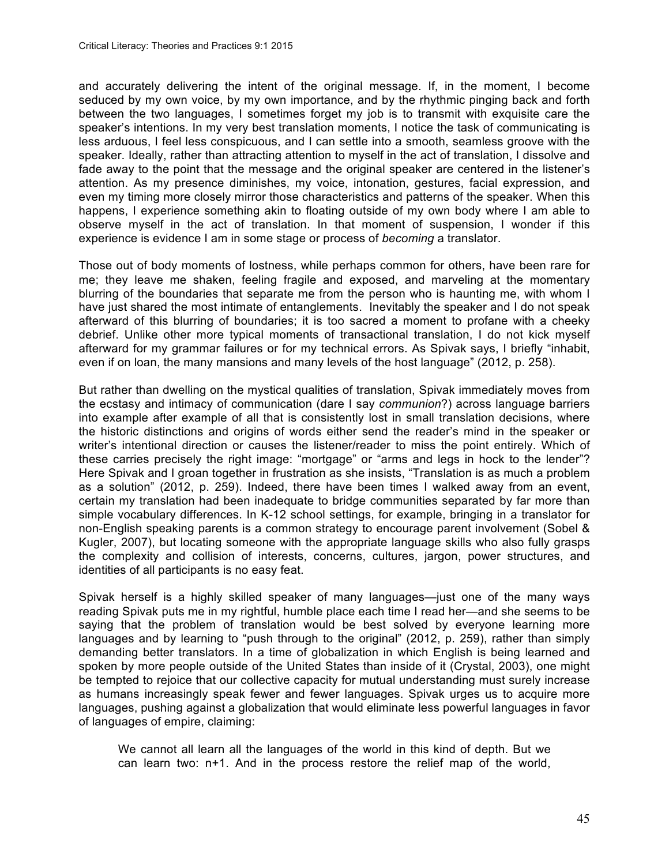and accurately delivering the intent of the original message. If, in the moment, I become seduced by my own voice, by my own importance, and by the rhythmic pinging back and forth between the two languages, I sometimes forget my job is to transmit with exquisite care the speaker's intentions. In my very best translation moments, I notice the task of communicating is less arduous, I feel less conspicuous, and I can settle into a smooth, seamless groove with the speaker. Ideally, rather than attracting attention to myself in the act of translation, I dissolve and fade away to the point that the message and the original speaker are centered in the listener's attention. As my presence diminishes, my voice, intonation, gestures, facial expression, and even my timing more closely mirror those characteristics and patterns of the speaker. When this happens, I experience something akin to floating outside of my own body where I am able to observe myself in the act of translation. In that moment of suspension, I wonder if this experience is evidence I am in some stage or process of *becoming* a translator.

Those out of body moments of lostness, while perhaps common for others, have been rare for me; they leave me shaken, feeling fragile and exposed, and marveling at the momentary blurring of the boundaries that separate me from the person who is haunting me, with whom I have just shared the most intimate of entanglements. Inevitably the speaker and I do not speak afterward of this blurring of boundaries; it is too sacred a moment to profane with a cheeky debrief. Unlike other more typical moments of transactional translation, I do not kick myself afterward for my grammar failures or for my technical errors. As Spivak says, I briefly "inhabit, even if on loan, the many mansions and many levels of the host language" (2012, p. 258).

But rather than dwelling on the mystical qualities of translation, Spivak immediately moves from the ecstasy and intimacy of communication (dare I say *communion*?) across language barriers into example after example of all that is consistently lost in small translation decisions, where the historic distinctions and origins of words either send the reader's mind in the speaker or writer's intentional direction or causes the listener/reader to miss the point entirely. Which of these carries precisely the right image: "mortgage" or "arms and legs in hock to the lender"? Here Spivak and I groan together in frustration as she insists, "Translation is as much a problem as a solution" (2012, p. 259). Indeed, there have been times I walked away from an event, certain my translation had been inadequate to bridge communities separated by far more than simple vocabulary differences. In K-12 school settings, for example, bringing in a translator for non-English speaking parents is a common strategy to encourage parent involvement (Sobel & Kugler, 2007), but locating someone with the appropriate language skills who also fully grasps the complexity and collision of interests, concerns, cultures, jargon, power structures, and identities of all participants is no easy feat.

Spivak herself is a highly skilled speaker of many languages—just one of the many ways reading Spivak puts me in my rightful, humble place each time I read her—and she seems to be saying that the problem of translation would be best solved by everyone learning more languages and by learning to "push through to the original" (2012, p. 259), rather than simply demanding better translators. In a time of globalization in which English is being learned and spoken by more people outside of the United States than inside of it (Crystal, 2003), one might be tempted to rejoice that our collective capacity for mutual understanding must surely increase as humans increasingly speak fewer and fewer languages. Spivak urges us to acquire more languages, pushing against a globalization that would eliminate less powerful languages in favor of languages of empire, claiming:

We cannot all learn all the languages of the world in this kind of depth. But we can learn two: n+1. And in the process restore the relief map of the world,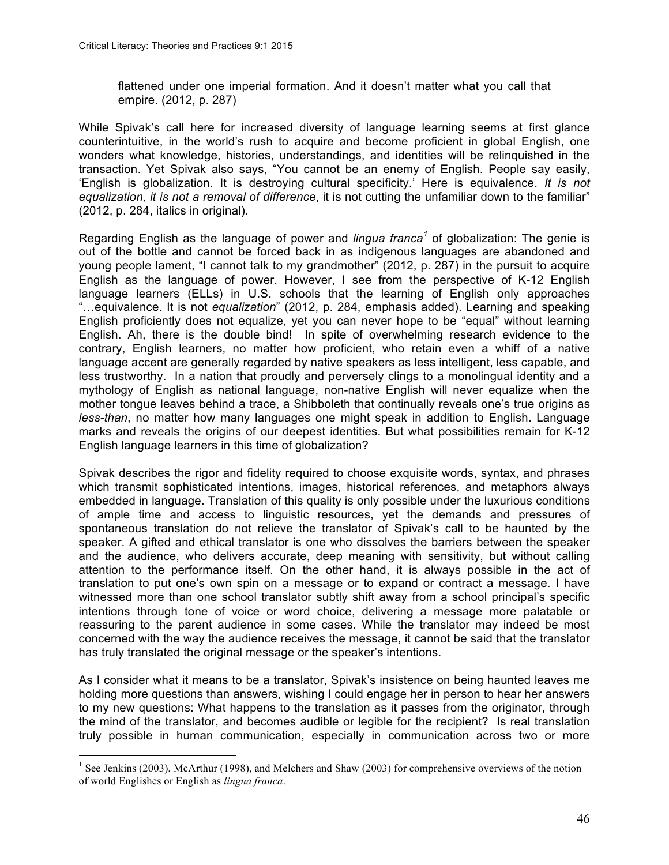flattened under one imperial formation. And it doesn't matter what you call that empire. (2012, p. 287)

While Spivak's call here for increased diversity of language learning seems at first glance counterintuitive, in the world's rush to acquire and become proficient in global English, one wonders what knowledge, histories, understandings, and identities will be relinquished in the transaction. Yet Spivak also says, "You cannot be an enemy of English. People say easily, 'English is globalization. It is destroying cultural specificity.' Here is equivalence. *It is not equalization, it is not a removal of difference*, it is not cutting the unfamiliar down to the familiar" (2012, p. 284, italics in original).

Regarding English as the language of power and *lingua franca<sup>1</sup>* of globalization: The genie is out of the bottle and cannot be forced back in as indigenous languages are abandoned and young people lament, "I cannot talk to my grandmother" (2012, p. 287) in the pursuit to acquire English as the language of power. However, I see from the perspective of K-12 English language learners (ELLs) in U.S. schools that the learning of English only approaches "…equivalence. It is not *equalization*" (2012, p. 284, emphasis added). Learning and speaking English proficiently does not equalize, yet you can never hope to be "equal" without learning English. Ah, there is the double bind! In spite of overwhelming research evidence to the contrary, English learners, no matter how proficient, who retain even a whiff of a native language accent are generally regarded by native speakers as less intelligent, less capable, and less trustworthy. In a nation that proudly and perversely clings to a monolingual identity and a mythology of English as national language, non-native English will never equalize when the mother tongue leaves behind a trace, a Shibboleth that continually reveals one's true origins as *less-than*, no matter how many languages one might speak in addition to English. Language marks and reveals the origins of our deepest identities. But what possibilities remain for K-12 English language learners in this time of globalization?

Spivak describes the rigor and fidelity required to choose exquisite words, syntax, and phrases which transmit sophisticated intentions, images, historical references, and metaphors always embedded in language. Translation of this quality is only possible under the luxurious conditions of ample time and access to linguistic resources, yet the demands and pressures of spontaneous translation do not relieve the translator of Spivak's call to be haunted by the speaker. A gifted and ethical translator is one who dissolves the barriers between the speaker and the audience, who delivers accurate, deep meaning with sensitivity, but without calling attention to the performance itself. On the other hand, it is always possible in the act of translation to put one's own spin on a message or to expand or contract a message. I have witnessed more than one school translator subtly shift away from a school principal's specific intentions through tone of voice or word choice, delivering a message more palatable or reassuring to the parent audience in some cases. While the translator may indeed be most concerned with the way the audience receives the message, it cannot be said that the translator has truly translated the original message or the speaker's intentions.

As I consider what it means to be a translator, Spivak's insistence on being haunted leaves me holding more questions than answers, wishing I could engage her in person to hear her answers to my new questions: What happens to the translation as it passes from the originator, through the mind of the translator, and becomes audible or legible for the recipient? Is real translation truly possible in human communication, especially in communication across two or more

<sup>&</sup>lt;sup>1</sup> See Jenkins (2003), McArthur (1998), and Melchers and Shaw (2003) for comprehensive overviews of the notion of world Englishes or English as *lingua franca*.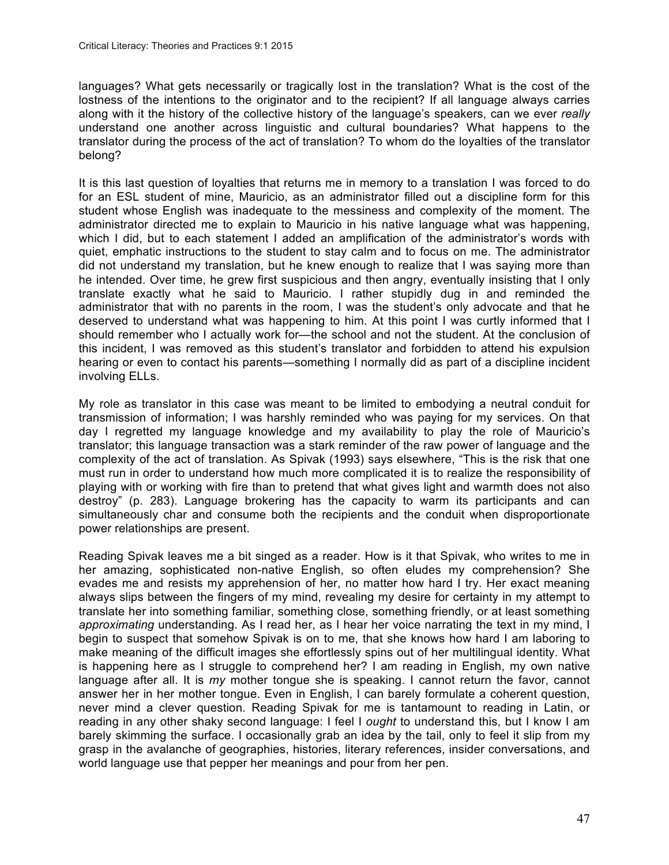languages? What gets necessarily or tragically lost in the translation? What is the cost of the lostness of the intentions to the originator and to the recipient? If all language always carries along with it the history of the collective history of the language's speakers, can we ever *really* understand one another across linguistic and cultural boundaries? What happens to the translator during the process of the act of translation? To whom do the loyalties of the translator belong?

It is this last question of loyalties that returns me in memory to a translation I was forced to do for an ESL student of mine, Mauricio, as an administrator filled out a discipline form for this student whose English was inadequate to the messiness and complexity of the moment. The administrator directed me to explain to Mauricio in his native language what was happening, which I did, but to each statement I added an amplification of the administrator's words with quiet, emphatic instructions to the student to stay calm and to focus on me. The administrator did not understand my translation, but he knew enough to realize that I was saying more than he intended. Over time, he grew first suspicious and then angry, eventually insisting that I only translate exactly what he said to Mauricio. I rather stupidly dug in and reminded the administrator that with no parents in the room, I was the student's only advocate and that he deserved to understand what was happening to him. At this point I was curtly informed that I should remember who I actually work for—the school and not the student. At the conclusion of this incident, I was removed as this student's translator and forbidden to attend his expulsion hearing or even to contact his parents—something I normally did as part of a discipline incident involving ELLs.

My role as translator in this case was meant to be limited to embodying a neutral conduit for transmission of information; I was harshly reminded who was paying for my services. On that day I regretted my language knowledge and my availability to play the role of Mauricio's translator; this language transaction was a stark reminder of the raw power of language and the complexity of the act of translation. As Spivak (1993) says elsewhere, "This is the risk that one must run in order to understand how much more complicated it is to realize the responsibility of playing with or working with fire than to pretend that what gives light and warmth does not also destroy" (p. 283). Language brokering has the capacity to warm its participants and can simultaneously char and consume both the recipients and the conduit when disproportionate power relationships are present.

Reading Spivak leaves me a bit singed as a reader. How is it that Spivak, who writes to me in her amazing, sophisticated non-native English, so often eludes my comprehension? She evades me and resists my apprehension of her, no matter how hard I try. Her exact meaning always slips between the fingers of my mind, revealing my desire for certainty in my attempt to translate her into something familiar, something close, something friendly, or at least something *approximating* understanding. As I read her, as I hear her voice narrating the text in my mind, I begin to suspect that somehow Spivak is on to me, that she knows how hard I am laboring to make meaning of the difficult images she effortlessly spins out of her multilingual identity. What is happening here as I struggle to comprehend her? I am reading in English, my own native language after all. It is *my* mother tongue she is speaking. I cannot return the favor, cannot answer her in her mother tongue. Even in English, I can barely formulate a coherent question, never mind a clever question. Reading Spivak for me is tantamount to reading in Latin, or reading in any other shaky second language: I feel I *ought* to understand this, but I know I am barely skimming the surface. I occasionally grab an idea by the tail, only to feel it slip from my grasp in the avalanche of geographies, histories, literary references, insider conversations, and world language use that pepper her meanings and pour from her pen.